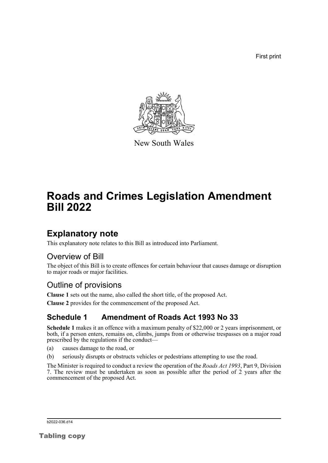First print



New South Wales

# **Roads and Crimes Legislation Amendment Bill 2022**

## **Explanatory note**

This explanatory note relates to this Bill as introduced into Parliament.

### Overview of Bill

The object of this Bill is to create offences for certain behaviour that causes damage or disruption to major roads or major facilities.

### Outline of provisions

**Clause 1** sets out the name, also called the short title, of the proposed Act.

**Clause 2** provides for the commencement of the proposed Act.

### **Schedule 1 Amendment of Roads Act 1993 No 33**

**Schedule 1** makes it an offence with a maximum penalty of \$22,000 or 2 years imprisonment, or both, if a person enters, remains on, climbs, jumps from or otherwise trespasses on a major road prescribed by the regulations if the conduct—

- (a) causes damage to the road, or
- (b) seriously disrupts or obstructs vehicles or pedestrians attempting to use the road.

The Minister is required to conduct a review the operation of the *Roads Act 1993*, Part 9, Division 7. The review must be undertaken as soon as possible after the period of 2 years after the commencement of the proposed Act.

b2022-036.d14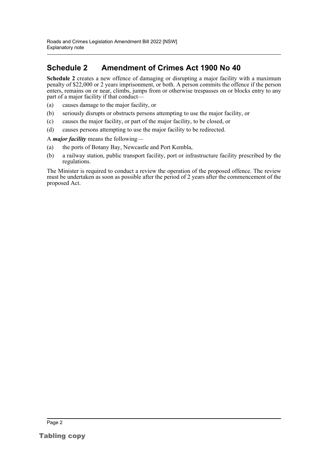### **Schedule 2 Amendment of Crimes Act 1900 No 40**

**Schedule 2** creates a new offence of damaging or disrupting a major facility with a maximum penalty of \$22,000 or 2 years imprisonment, or both. A person commits the offence if the person enters, remains on or near, climbs, jumps from or otherwise trespasses on or blocks entry to any part of a major facility if that conduct—

- (a) causes damage to the major facility, or
- (b) seriously disrupts or obstructs persons attempting to use the major facility, or
- (c) causes the major facility, or part of the major facility, to be closed, or
- (d) causes persons attempting to use the major facility to be redirected.

#### A *major facility* means the following—

- (a) the ports of Botany Bay, Newcastle and Port Kembla,
- (b) a railway station, public transport facility, port or infrastructure facility prescribed by the regulations.

The Minister is required to conduct a review the operation of the proposed offence. The review must be undertaken as soon as possible after the period of 2 years after the commencement of the proposed Act.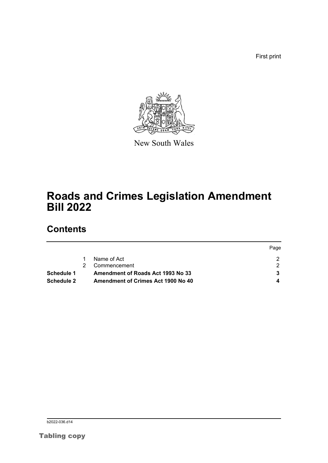First print



New South Wales

## **Roads and Crimes Legislation Amendment Bill 2022**

## **Contents**

|                   |                                    | Page |
|-------------------|------------------------------------|------|
|                   | Name of Act                        |      |
|                   | Commencement                       |      |
| Schedule 1        | Amendment of Roads Act 1993 No 33  |      |
| <b>Schedule 2</b> | Amendment of Crimes Act 1900 No 40 |      |

b<sub>2022</sub>-036.d14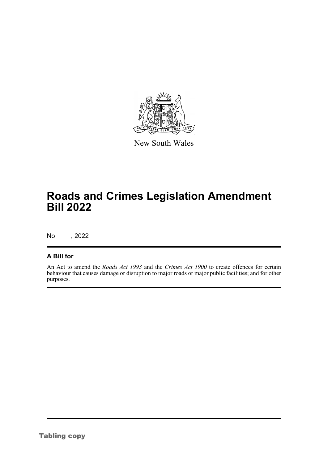

New South Wales

## **Roads and Crimes Legislation Amendment Bill 2022**

No , 2022

### **A Bill for**

An Act to amend the *Roads Act 1993* and the *Crimes Act 1900* to create offences for certain behaviour that causes damage or disruption to major roads or major public facilities; and for other purposes.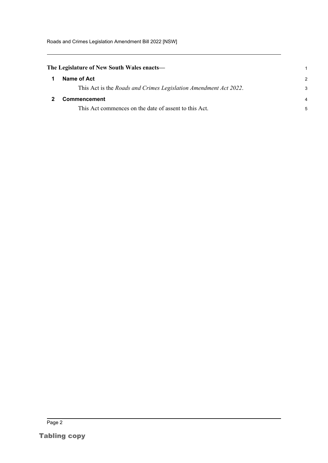Roads and Crimes Legislation Amendment Bill 2022 [NSW]

<span id="page-4-1"></span><span id="page-4-0"></span>

| The Legislature of New South Wales enacts— |                                                                          |                |
|--------------------------------------------|--------------------------------------------------------------------------|----------------|
|                                            | Name of Act                                                              | $\mathcal{P}$  |
|                                            | This Act is the <i>Roads and Crimes Legislation Amendment Act 2022</i> . | 3              |
|                                            | <b>Commencement</b>                                                      | $\overline{4}$ |
|                                            | This Act commences on the date of assent to this Act.                    | 5              |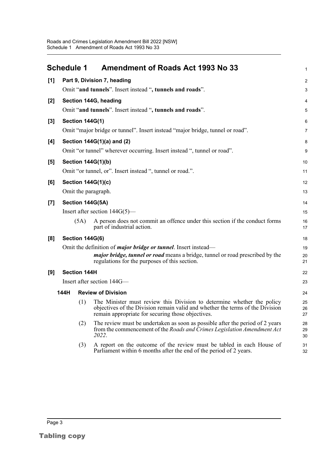<span id="page-5-0"></span>

|       | <b>Schedule 1</b>                                         |                        | <b>Amendment of Roads Act 1993 No 33</b>                                                                                                                                                                     | $\mathbf{1}$       |
|-------|-----------------------------------------------------------|------------------------|--------------------------------------------------------------------------------------------------------------------------------------------------------------------------------------------------------------|--------------------|
| [1]   | Part 9, Division 7, heading                               |                        |                                                                                                                                                                                                              |                    |
|       |                                                           |                        | Omit "and tunnels". Insert instead ", tunnels and roads".                                                                                                                                                    | 3                  |
| [2]   |                                                           |                        | Section 144G, heading                                                                                                                                                                                        | 4                  |
|       |                                                           |                        | Omit "and tunnels". Insert instead ", tunnels and roads".                                                                                                                                                    | 5                  |
| [3]   | <b>Section 144G(1)</b>                                    |                        |                                                                                                                                                                                                              | 6                  |
|       |                                                           |                        | Omit "major bridge or tunnel". Insert instead "major bridge, tunnel or road".                                                                                                                                | $\overline{7}$     |
| [4]   |                                                           |                        | Section 144G(1)(a) and (2)                                                                                                                                                                                   | 8                  |
|       |                                                           |                        | Omit "or tunnel" wherever occurring. Insert instead ", tunnel or road".                                                                                                                                      | 9                  |
| [5]   |                                                           |                        | <b>Section 144G(1)(b)</b>                                                                                                                                                                                    | 10                 |
|       | Omit "or tunnel, or". Insert instead ", tunnel or road.". |                        |                                                                                                                                                                                                              | 11                 |
| [6]   |                                                           |                        | <b>Section 144G(1)(c)</b>                                                                                                                                                                                    | 12                 |
|       |                                                           |                        | Omit the paragraph.                                                                                                                                                                                          | 13                 |
| $[7]$ |                                                           |                        | Section 144G(5A)                                                                                                                                                                                             | 14                 |
|       |                                                           |                        | Insert after section $144G(5)$ —                                                                                                                                                                             | 15                 |
|       |                                                           | (5A)                   | A person does not commit an offence under this section if the conduct forms<br>part of industrial action.                                                                                                    | 16<br>17           |
| [8]   |                                                           | <b>Section 144G(6)</b> |                                                                                                                                                                                                              | 18                 |
|       |                                                           |                        | Omit the definition of <i>major bridge or tunnel</i> . Insert instead—                                                                                                                                       | 19                 |
|       |                                                           |                        | <i>major bridge, tunnel or road</i> means a bridge, tunnel or road prescribed by the<br>regulations for the purposes of this section.                                                                        | 20<br>21           |
| [9]   |                                                           | <b>Section 144H</b>    |                                                                                                                                                                                                              | 22                 |
|       |                                                           |                        | Insert after section 144G-                                                                                                                                                                                   | 23                 |
|       | 144H                                                      |                        | <b>Review of Division</b>                                                                                                                                                                                    | 24                 |
|       |                                                           | (1)                    | The Minister must review this Division to determine whether the policy<br>objectives of the Division remain valid and whether the terms of the Division<br>remain appropriate for securing those objectives. | 25<br>$26\,$<br>27 |
|       |                                                           | (2)                    | The review must be undertaken as soon as possible after the period of 2 years<br>from the commencement of the Roads and Crimes Legislation Amendment Act<br>2022.                                            | 28<br>29<br>30     |
|       |                                                           | (3)                    | A report on the outcome of the review must be tabled in each House of<br>Parliament within 6 months after the end of the period of 2 years.                                                                  | 31<br>32           |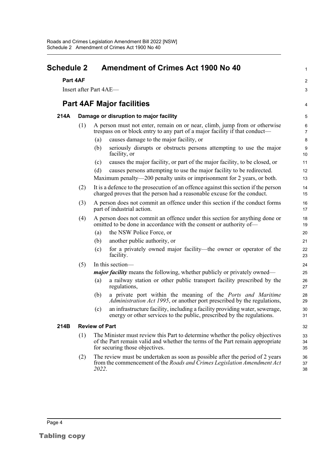<span id="page-6-0"></span>

| <b>Schedule 2</b><br>Part 4AF |                       | <b>Amendment of Crimes Act 1900 No 40</b>                                                                                                                                                        |                |                                  |
|-------------------------------|-----------------------|--------------------------------------------------------------------------------------------------------------------------------------------------------------------------------------------------|----------------|----------------------------------|
|                               |                       |                                                                                                                                                                                                  |                | Insert after Part 4AE-           |
|                               |                       |                                                                                                                                                                                                  |                | <b>Part 4AF Major facilities</b> |
| 214A                          |                       | Damage or disruption to major facility                                                                                                                                                           |                |                                  |
|                               | (1)                   | A person must not enter, remain on or near, climb, jump from or otherwise<br>trespass on or block entry to any part of a major facility if that conduct—                                         |                |                                  |
|                               |                       | causes damage to the major facility, or<br>(a)                                                                                                                                                   | $\bf 8$        |                                  |
|                               |                       | seriously disrupts or obstructs persons attempting to use the major<br>(b)<br>facility, or                                                                                                       | 9<br>10        |                                  |
|                               |                       | causes the major facility, or part of the major facility, to be closed, or<br>(c)                                                                                                                | 11             |                                  |
|                               |                       | causes persons attempting to use the major facility to be redirected.<br>(d)                                                                                                                     | 12             |                                  |
|                               |                       | Maximum penalty—200 penalty units or imprisonment for 2 years, or both.                                                                                                                          | 13             |                                  |
|                               | (2)                   | It is a defence to the prosecution of an offence against this section if the person<br>charged proves that the person had a reasonable excuse for the conduct.                                   | 14<br>15       |                                  |
|                               | (3)                   | A person does not commit an offence under this section if the conduct forms<br>part of industrial action.                                                                                        | 16<br>17       |                                  |
|                               | (4)                   | A person does not commit an offence under this section for anything done or<br>omitted to be done in accordance with the consent or authority of—                                                | 18<br>19       |                                  |
|                               |                       | the NSW Police Force, or<br>(a)                                                                                                                                                                  | 20             |                                  |
|                               |                       | another public authority, or<br>(b)                                                                                                                                                              | 21             |                                  |
|                               |                       | for a privately owned major facility—the owner or operator of the<br>(c)<br>facility.                                                                                                            | 22<br>23       |                                  |
|                               | (5)                   | In this section-                                                                                                                                                                                 | 24             |                                  |
|                               |                       | <i>major facility</i> means the following, whether publicly or privately owned—                                                                                                                  | 25             |                                  |
|                               |                       | a railway station or other public transport facility prescribed by the<br>(a)<br>regulations,                                                                                                    | 26<br>27       |                                  |
|                               |                       | a private port within the meaning of the <i>Ports and Maritime</i><br>(b)<br>Administration Act 1995, or another port prescribed by the regulations,                                             | 28<br>29       |                                  |
|                               |                       | an infrastructure facility, including a facility providing water, sewerage,<br>(c)<br>energy or other services to the public, prescribed by the regulations.                                     | $30\,$<br>31   |                                  |
| 214B                          | <b>Review of Part</b> |                                                                                                                                                                                                  |                |                                  |
|                               | (1)                   | The Minister must review this Part to determine whether the policy objectives<br>of the Part remain valid and whether the terms of the Part remain appropriate<br>for securing those objectives. | 33<br>34<br>35 |                                  |
|                               | (2)                   | The review must be undertaken as soon as possible after the period of 2 years<br>from the commencement of the Roads and Crimes Legislation Amendment Act<br>2022.                                | 36<br>37<br>38 |                                  |